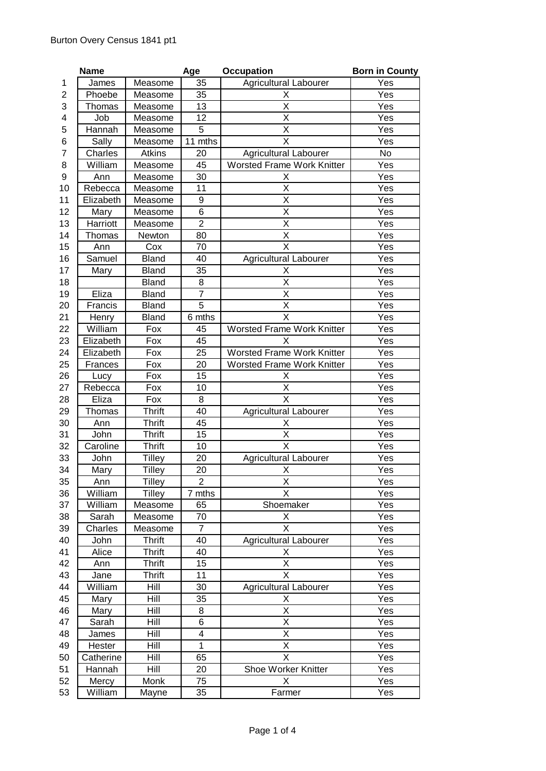|    | <b>Name</b> |               | Age            | <b>Occupation</b>                 | <b>Born in County</b> |
|----|-------------|---------------|----------------|-----------------------------------|-----------------------|
| 1  | James       | Measome       | 35             | <b>Agricultural Labourer</b>      | Yes                   |
| 2  | Phoebe      | Measome       | 35             | Х                                 | Yes                   |
| 3  | Thomas      | Measome       | 13             | X                                 | Yes                   |
| 4  | Job         | Measome       | 12             | Χ                                 | Yes                   |
| 5  | Hannah      | Measome       | 5              | X                                 | Yes                   |
| 6  | Sally       | Measome       | 11 mths        | X                                 | Yes                   |
| 7  | Charles     | <b>Atkins</b> | 20             | <b>Agricultural Labourer</b>      | No                    |
| 8  | William     | Measome       | 45             | <b>Worsted Frame Work Knitter</b> | Yes                   |
| 9  | Ann         | Measome       | 30             | Х                                 | Yes                   |
| 10 | Rebecca     | Measome       | 11             | X                                 | Yes                   |
| 11 | Elizabeth   | Measome       | 9              | X                                 | Yes                   |
| 12 | Mary        | Measome       | 6              | $\overline{\mathsf{x}}$           | Yes                   |
| 13 | Harriott    | Measome       | $\overline{2}$ | X                                 | Yes                   |
| 14 | Thomas      | Newton        | 80             | X                                 | Yes                   |
| 15 | Ann         | Cox           | 70             | X                                 | Yes                   |
| 16 | Samuel      | <b>Bland</b>  | 40             | <b>Agricultural Labourer</b>      | Yes                   |
| 17 | Mary        | <b>Bland</b>  | 35             | х                                 | Yes                   |
| 18 |             | <b>Bland</b>  | 8              | X                                 | Yes                   |
| 19 | Eliza       | <b>Bland</b>  | $\overline{7}$ | Χ                                 | Yes                   |
| 20 | Francis     | <b>Bland</b>  | $\overline{5}$ | $\overline{\mathsf{x}}$           | Yes                   |
| 21 | Henry       | <b>Bland</b>  | 6 mths         | X                                 | Yes                   |
| 22 | William     | Fox           | 45             | <b>Worsted Frame Work Knitter</b> | Yes                   |
| 23 | Elizabeth   | Fox           | 45             | X                                 | Yes                   |
| 24 | Elizabeth   | Fox           | 25             | Worsted Frame Work Knitter        | Yes                   |
| 25 | Frances     | Fox           | 20             | Worsted Frame Work Knitter        | Yes                   |
| 26 | Lucy        | Fox           | 15             | Χ                                 | Yes                   |
| 27 | Rebecca     | Fox           | 10             | X                                 | Yes                   |
| 28 | Eliza       | Fox           | 8              | X                                 | Yes                   |
| 29 | Thomas      | <b>Thrift</b> | 40             | <b>Agricultural Labourer</b>      | Yes                   |
| 30 | Ann         | <b>Thrift</b> | 45             | Х                                 | Yes                   |
| 31 | John        | <b>Thrift</b> | 15             | X                                 | Yes                   |
| 32 | Caroline    | <b>Thrift</b> | 10             | X                                 | Yes                   |
| 33 | John        | <b>Tilley</b> | 20             | <b>Agricultural Labourer</b>      | Yes                   |
| 34 | Mary        | <b>Tilley</b> | 20             | Χ                                 | Yes                   |
| 35 | Ann         | <b>Tilley</b> | $\overline{2}$ | Χ                                 | Yes                   |
| 36 | William     | <b>Tilley</b> | mths<br>7      | $\overline{\mathsf{x}}$           | Yes                   |
| 37 | William     | Measome       | 65             | Shoemaker                         | Yes                   |
| 38 | Sarah       | Measome       | 70             | X                                 | Yes                   |
| 39 | Charles     | Measome       | $\overline{7}$ | X                                 | Yes                   |
| 40 | John        | <b>Thrift</b> | 40             | <b>Agricultural Labourer</b>      | Yes                   |
| 41 | Alice       | <b>Thrift</b> | 40             | Χ                                 | Yes                   |
| 42 | Ann         | <b>Thrift</b> | 15             | $\overline{\mathsf{X}}$           | Yes                   |
| 43 | Jane        | <b>Thrift</b> | 11             | X                                 | Yes                   |
| 44 | William     | Hill          | 30             | <b>Agricultural Labourer</b>      | Yes                   |
| 45 | Mary        | Hill          | 35             | Χ                                 | Yes                   |
| 46 | Mary        | Hill          | 8              | Χ                                 | Yes                   |
| 47 | Sarah       | Hill          | 6              | X                                 | Yes                   |
| 48 | James       | Hill          | 4              | X                                 | Yes                   |
| 49 | Hester      | Hill          | $\mathbf{1}$   | X                                 | Yes                   |
| 50 | Catherine   | Hill          | 65             | X                                 | Yes                   |
| 51 | Hannah      | Hill          | 20             | Shoe Worker Knitter               | Yes                   |
| 52 | Mercy       | Monk          | 75             | X                                 | Yes                   |
| 53 | William     | Mayne         | 35             | Farmer                            | Yes                   |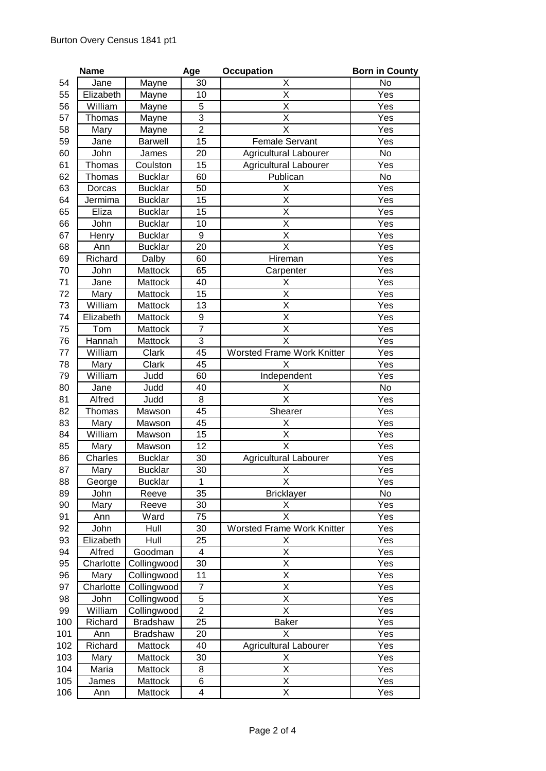|     | <b>Name</b> |                 | Age              | <b>Occupation</b>                 | <b>Born in County</b> |
|-----|-------------|-----------------|------------------|-----------------------------------|-----------------------|
| 54  | Jane        | Mayne           | 30               | Χ                                 | No                    |
| 55  | Elizabeth   | Mayne           | 10               | X                                 | Yes                   |
| 56  | William     | Mayne           | 5                | X                                 | Yes                   |
| 57  | Thomas      | Mayne           | 3                | X                                 | Yes                   |
| 58  | Mary        | Mayne           | $\overline{2}$   | X                                 | Yes                   |
| 59  | Jane        | <b>Barwell</b>  | 15               | Female Servant                    | Yes                   |
| 60  | John        | James           | 20               | <b>Agricultural Labourer</b>      | No                    |
| 61  | Thomas      | Coulston        | 15               | <b>Agricultural Labourer</b>      | Yes                   |
| 62  | Thomas      | <b>Bucklar</b>  | 60               | Publican                          | No                    |
| 63  | Dorcas      | <b>Bucklar</b>  | 50               | Χ                                 | Yes                   |
| 64  | Jermima     | <b>Bucklar</b>  | 15               | X                                 | Yes                   |
| 65  | Eliza       | <b>Bucklar</b>  | 15               | X                                 | Yes                   |
| 66  | John        | <b>Bucklar</b>  | 10               | $\overline{\mathsf{x}}$           | Yes                   |
| 67  | Henry       | <b>Bucklar</b>  | 9                | X                                 | Yes                   |
| 68  | Ann         | <b>Bucklar</b>  | 20               | X                                 | Yes                   |
| 69  | Richard     | Dalby           | 60               | Hireman                           | Yes                   |
| 70  | John        | Mattock         | 65               | Carpenter                         | Yes                   |
| 71  | Jane        | Mattock         | 40               | Χ                                 | Yes                   |
| 72  | Mary        | Mattock         | 15               | X                                 | Yes                   |
| 73  | William     | Mattock         | 13               | Χ                                 | Yes                   |
| 74  | Elizabeth   | Mattock         | $\boldsymbol{9}$ | $\overline{\mathsf{x}}$           | Yes                   |
| 75  | Tom         | Mattock         | $\overline{7}$   | X                                 | Yes                   |
| 76  | Hannah      | Mattock         | 3                | X                                 | Yes                   |
| 77  | William     | Clark           | 45               | <b>Worsted Frame Work Knitter</b> | Yes                   |
| 78  | Mary        | Clark           | 45               | X                                 | Yes                   |
| 79  | William     | Judd            | 60               | Independent                       | Yes                   |
| 80  | Jane        | Judd            | 40               | Χ                                 | No                    |
| 81  | Alfred      | Judd            | 8                | $\overline{\mathsf{x}}$           | Yes                   |
| 82  | Thomas      | Mawson          | 45               | Shearer                           | Yes                   |
| 83  | Mary        | Mawson          | 45               | Χ                                 | Yes                   |
| 84  | William     | Mawson          | 15               | Χ                                 | Yes                   |
| 85  | Mary        | Mawson          | 12               | $\overline{\mathsf{x}}$           | Yes                   |
| 86  | Charles     | <b>Bucklar</b>  | 30               | <b>Agricultural Labourer</b>      | Yes                   |
| 87  | Mary        | <b>Bucklar</b>  | 30               | X                                 | Yes                   |
| 88  | George      | <b>Bucklar</b>  | 1                | X                                 | Yes                   |
| 89  | John        | Reeve           | 35               | <b>Bricklayer</b>                 | No                    |
| 90  | Mary        | Reeve           | 30               | Χ                                 | Yes                   |
| 91  | Ann         | Ward            | 75               | X                                 | Yes                   |
| 92  | John        | Hull            | 30               | <b>Worsted Frame Work Knitter</b> | Yes                   |
| 93  | Elizabeth   | Hull            | 25               | Χ                                 | Yes                   |
| 94  | Alfred      | Goodman         | 4                | X                                 | Yes                   |
| 95  | Charlotte   | Collingwood     | 30               | X                                 | Yes                   |
| 96  | Mary        | Collingwood     | 11               | $\overline{\mathsf{x}}$           | Yes                   |
| 97  | Charlotte   | Collingwood     | $\overline{7}$   | X                                 | Yes                   |
| 98  | John        | Collingwood     | $\overline{5}$   | $\overline{\mathsf{x}}$           | Yes                   |
| 99  | William     | Collingwood     | $\overline{2}$   | X                                 | Yes                   |
| 100 | Richard     | <b>Bradshaw</b> | 25               | <b>Baker</b>                      | Yes                   |
| 101 | Ann         | Bradshaw        | 20               | X                                 | Yes                   |
| 102 | Richard     | Mattock         | 40               | <b>Agricultural Labourer</b>      | Yes                   |
| 103 | Mary        | Mattock         | 30               | Χ                                 | Yes                   |
| 104 | Maria       | Mattock         | 8                | $\overline{\mathsf{x}}$           | Yes                   |
| 105 | James       | Mattock         | 6                | X                                 | Yes                   |
| 106 | Ann         | Mattock         | 4                | Χ                                 | Yes                   |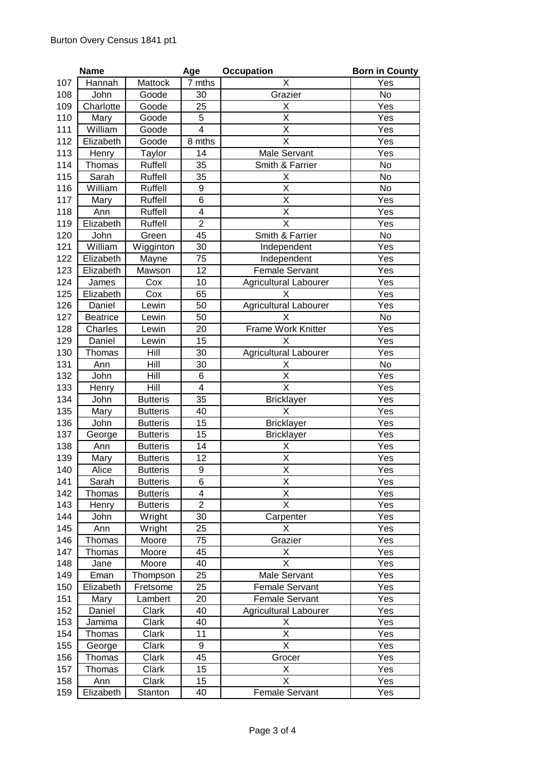|            | <b>Name</b>     |                 | Age                     | <b>Occupation</b>            | <b>Born in County</b> |
|------------|-----------------|-----------------|-------------------------|------------------------------|-----------------------|
| 107        | Hannah          | Mattock         | 7 mths                  | Χ                            | Yes                   |
| 108        | John            | Goode           | 30                      | Grazier                      | No                    |
| 109        | Charlotte       | Goode           | 25                      | Χ                            | Yes                   |
| 110        | Mary            | Goode           | 5                       | X                            | Yes                   |
| 111        | William         | Goode           | $\overline{4}$          | X                            | Yes                   |
| 112        | Elizabeth       | Goode           | 8 mths                  | $\overline{\mathsf{x}}$      | Yes                   |
| 113        | Henry           | Taylor          | 14                      | Male Servant                 | Yes                   |
| 114        | Thomas          | Ruffell         | 35                      | Smith & Farrier              | No                    |
| 115        | Sarah           | Ruffell         | 35                      | Χ                            | No                    |
| 116        | William         | Ruffell         | 9                       | X                            | No                    |
| 117        | Mary            | Ruffell         | 6                       | X                            | Yes                   |
| 118        | Ann             | Ruffell         | $\overline{\mathbf{4}}$ | $\overline{\mathsf{x}}$      | Yes                   |
| 119        | Elizabeth       | Ruffell         | $\overline{2}$          | X                            | Yes                   |
| 120        | John            | Green           | 45                      | Smith & Farrier              | No                    |
| 121        | William         | Wigginton       | 30                      | Independent                  | Yes                   |
| 122        | Elizabeth       | Mayne           | 75                      | Independent                  | Yes                   |
| 123        | Elizabeth       | Mawson          | 12                      | <b>Female Servant</b>        | Yes                   |
| 124        | James           | Cox             | 10                      | Agricultural Labourer        | Yes                   |
| 125        | Elizabeth       | Cox             | 65                      | X                            | Yes                   |
| 126        | Daniel          | Lewin           | 50                      | Agricultural Labourer        | Yes                   |
| 127        | <b>Beatrice</b> | Lewin           | 50                      | Χ                            | No                    |
| 128        | Charles         | Lewin           | 20                      | Frame Work Knitter           | Yes                   |
| 129        | Daniel          | Lewin           | 15                      | X                            | Yes                   |
| 130        | Thomas          | Hill            | 30                      | <b>Agricultural Labourer</b> | Yes                   |
| 131        | Ann             | Hill            | 30                      | X                            | No                    |
| 132        | John            | Hill            | 6                       | Χ                            | Yes                   |
| 133        | Henry           | Hill            | $\overline{\mathbf{4}}$ | X                            | Yes                   |
| 134        | John            | <b>Butteris</b> | 35                      | <b>Bricklayer</b>            | Yes                   |
| 135        | Mary            | <b>Butteris</b> | 40                      | X                            | Yes                   |
| 136        | John            | <b>Butteris</b> | 15                      | <b>Bricklayer</b>            | Yes                   |
| 137        | George          | <b>Butteris</b> | 15                      | <b>Bricklayer</b>            | Yes                   |
| 138        | Ann             | <b>Butteris</b> | 14                      | X                            | Yes                   |
| 139        | Mary            | <b>Butteris</b> | 12                      | Χ                            | Yes                   |
| 140        | Alice           | <b>Butteris</b> | 9                       | $\overline{\mathsf{x}}$      | Yes                   |
| 141        | Sarah           | <b>Butteris</b> | 6                       | X                            | Yes                   |
| 142        | Thomas          | <b>Butteris</b> | $\overline{4}$          | $\overline{\mathsf{x}}$      | Yes                   |
| 143        | Henry           | <b>Butteris</b> | $\overline{2}$          | X                            | Yes                   |
| 144        | John            | Wright          | 30                      | Carpenter                    | Yes<br>Yes            |
| 145<br>146 | Ann<br>Thomas   | Wright<br>Moore | 25<br>75                | X<br>Grazier                 | Yes                   |
| 147        | Thomas          | Moore           | 45                      | X                            | Yes                   |
| 148        | Jane            | Moore           | 40                      | X                            | Yes                   |
| 149        | Eman            | Thompson        | 25                      | Male Servant                 | Yes                   |
| 150        | Elizabeth       | Fretsome        | 25                      | <b>Female Servant</b>        | Yes                   |
| 151        | Mary            | Lambert         | 20                      | <b>Female Servant</b>        | Yes                   |
| 152        | Daniel          | Clark           | 40                      | <b>Agricultural Labourer</b> | Yes                   |
| 153        | Jamima          | Clark           | 40                      | X                            | Yes                   |
| 154        | Thomas          | Clark           | 11                      | X                            | Yes                   |
| 155        | George          | Clark           | 9                       | X                            | Yes                   |
| 156        | Thomas          | Clark           | 45                      | Grocer                       | Yes                   |
| 157        | Thomas          | Clark           | 15                      | X                            | Yes                   |
| 158        | Ann             | Clark           | 15                      | X                            | Yes                   |
| 159        | Elizabeth       | Stanton         | 40                      | Female Servant               | Yes                   |